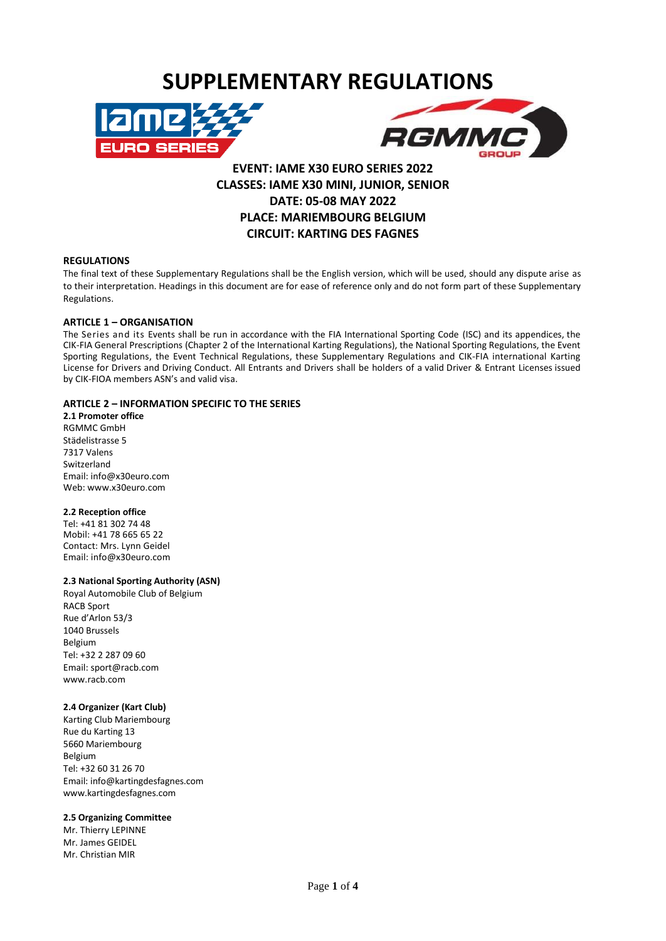# **SUPPLEMENTARY REGULATIONS**





## **EVENT: IAME X30 EURO SERIES 2022 CLASSES: IAME X30 MINI, JUNIOR, SENIOR DATE: 05-08 MAY 2022 PLACE: MARIEMBOURG BELGIUM CIRCUIT: KARTING DES FAGNES**

## **REGULATIONS**

The final text of these Supplementary Regulations shall be the English version, which will be used, should any dispute arise as to their interpretation. Headings in this document are for ease of reference only and do not form part of these Supplementary Regulations.

#### **ARTICLE 1 – ORGANISATION**

The Series and its Events shall be run in accordance with the FIA International Sporting Code (ISC) and its appendices, the CIK-FIA General Prescriptions (Chapter 2 of the International Karting Regulations), the National Sporting Regulations, the Event Sporting Regulations, the Event Technical Regulations, these Supplementary Regulations and CIK-FIA international Karting License for Drivers and Driving Conduct. All Entrants and Drivers shall be holders of a valid Driver & Entrant Licenses issued by CIK-FIOA members ASN's and valid visa.

## **ARTICLE 2 – INFORMATION SPECIFIC TO THE SERIES**

**2.1 Promoter office** RGMMC GmbH Städelistrasse 5 7317 Valens Switzerland Em[ail: info@x30euro.com](mailto:il:%20info@x30euro.com) Web: www.x30euro.com

#### **2.2 Reception office**

Tel: +41 81 302 74 48 Mobil: +41 78 665 65 22 Contact: Mrs. Lynn Geidel Email: info@x30euro.com

## **2.3 National Sporting Authority (ASN)**

Royal Automobile Club of Belgium RACB Sport Rue d'Arlon 53/3 1040 Brussels Belgium Tel: +32 2 287 09 60 Email[: sport@racb.com](mailto:sport@racb.com) www.racb.com

## **2.4 Organizer (Kart Club)**

Karting Club Mariembourg Rue du Karting 13 5660 Mariembourg Belgium Tel: +32 60 31 26 70 Email: [info@kartingdesfagnes.com](mailto:info@kartingdesfagnes.com) www.kartingdesfagnes.com

#### **2.5 Organizing Committee**

Mr. Thierry LEPINNE Mr. James GEIDEL Mr. Christian MIR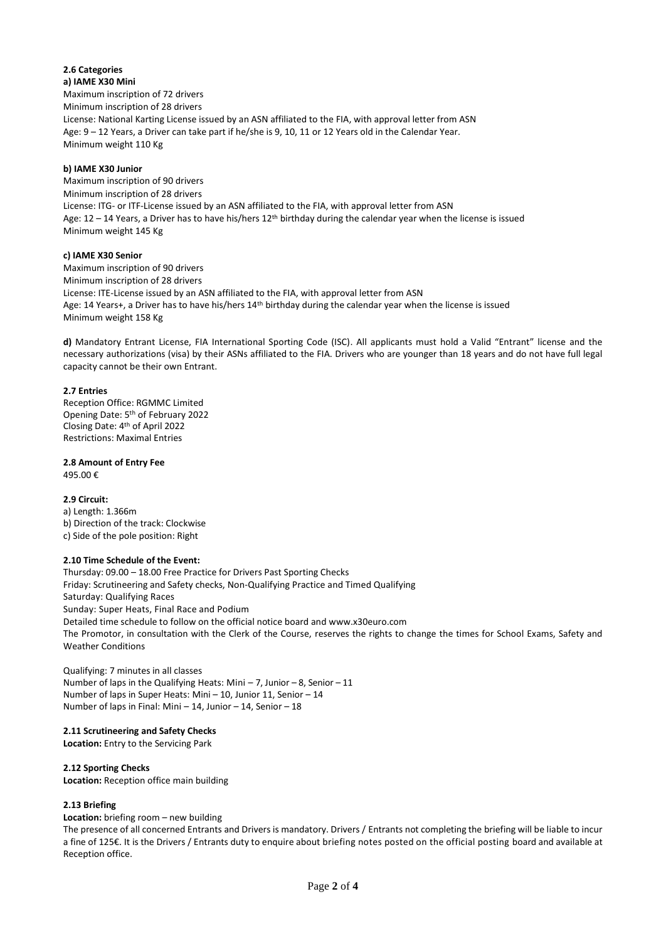#### **2.6 Categories a) IAME X30 Mini**

Maximum inscription of 72 drivers Minimum inscription of 28 drivers License: National Karting License issued by an ASN affiliated to the FIA, with approval letter from ASN Age: 9 – 12 Years, a Driver can take part if he/she is 9, 10, 11 or 12 Years old in the Calendar Year. Minimum weight 110 Kg

## **b) IAME X30 Junior**

Maximum inscription of 90 drivers Minimum inscription of 28 drivers License: ITG- or ITF-License issued by an ASN affiliated to the FIA, with approval letter from ASN Age:  $12 - 14$  Years, a Driver has to have his/hers  $12^{th}$  birthday during the calendar year when the license is issued Minimum weight 145 Kg

## **c) IAME X30 Senior**

Maximum inscription of 90 drivers Minimum inscription of 28 drivers License: ITE-License issued by an ASN affiliated to the FIA, with approval letter from ASN Age: 14 Years+, a Driver has to have his/hers 14th birthday during the calendar year when the license is issued Minimum weight 158 Kg

**d)** Mandatory Entrant License, FIA International Sporting Code (ISC). All applicants must hold a Valid "Entrant" license and the necessary authorizations (visa) by their ASNs affiliated to the FIA. Drivers who are younger than 18 years and do not have full legal capacity cannot be their own Entrant.

## **2.7 Entries**

Reception Office: RGMMC Limited Opening Date: 5<sup>th</sup> of February 2022 Closing Date: 4 th of April 2022 Restrictions: Maximal Entries

**2.8 Amount of Entry Fee**

495.00 €

**2.9 Circuit:** a) Length: 1.366m b) Direction of the track: Clockwise c) Side of the pole position: Right

## **2.10 Time Schedule of the Event:**

Thursday: 09.00 – 18.00 Free Practice for Drivers Past Sporting Checks Friday: Scrutineering and Safety checks, Non-Qualifying Practice and Timed Qualifying Saturday: Qualifying Races Sunday: Super Heats, Final Race and Podium Detailed time schedule to follow on the official notice board and www.x30euro.com The Promotor, in consultation with the Clerk of the Course, reserves the rights to change the times for School Exams, Safety and Weather Conditions

Qualifying: 7 minutes in all classes Number of laps in the Qualifying Heats: Mini – 7, Junior – 8, Senior – 11 Number of laps in Super Heats: Mini – 10, Junior 11, Senior – 14 Number of laps in Final: Mini – 14, Junior – 14, Senior – 18

## **2.11 Scrutineering and Safety Checks**

**Location:** Entry to the Servicing Park

## **2.12 Sporting Checks**

**Location:** Reception office main building

## **2.13 Briefing**

**Location:** briefing room – new building

The presence of all concerned Entrants and Drivers is mandatory. Drivers / Entrants not completing the briefing will be liable to incur a fine of 125€. It is the Drivers / Entrants duty to enquire about briefing notes posted on the official posting board and available at Reception office.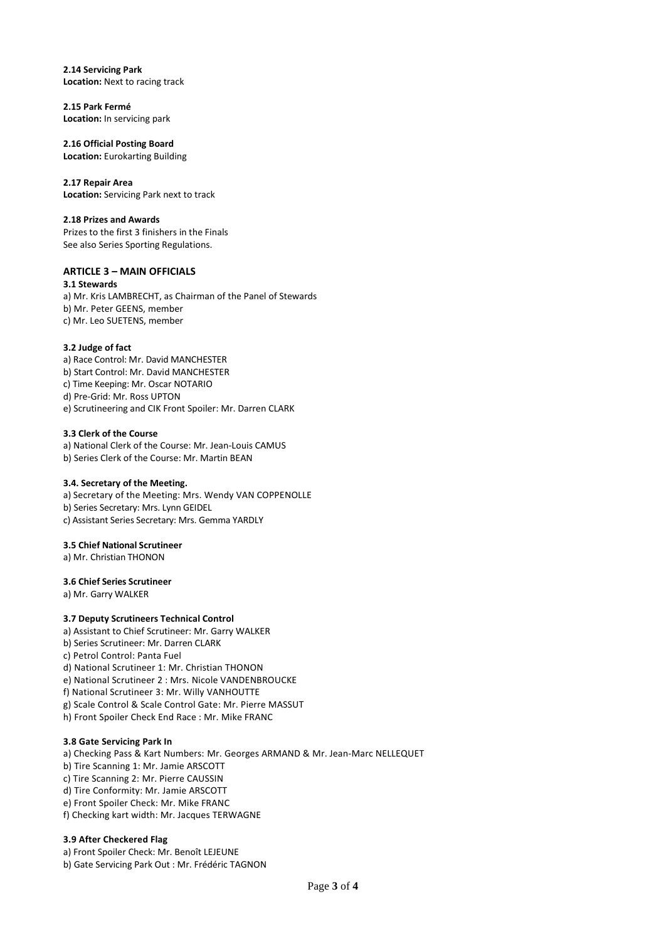**2.14 Servicing Park Location:** Next to racing track

**2.15 Park Fermé Location:** In servicing park

**2.16 Official Posting Board Location:** Eurokarting Building

**2.17 Repair Area Location:** Servicing Park next to track

#### **2.18 Prizes and Awards**

Prizes to the first 3 finishers in the Finals See also Series Sporting Regulations.

## **ARTICLE 3 – MAIN OFFICIALS**

**3.1 Stewards** a) Mr. Kris LAMBRECHT, as Chairman of the Panel of Stewards b) Mr. Peter GEENS, member c) Mr. Leo SUETENS, member

## **3.2 Judge of fact**

a) Race Control: Mr. David MANCHESTER b) Start Control: Mr. David MANCHESTER c) Time Keeping: Mr. Oscar NOTARIO d) Pre-Grid: Mr. Ross UPTON e) Scrutineering and CIK Front Spoiler: Mr. Darren CLARK

#### **3.3 Clerk of the Course**

a) National Clerk of the Course: Mr. Jean-Louis CAMUS b) Series Clerk of the Course: Mr. Martin BEAN

## **3.4. Secretary of the Meeting.**

a) Secretary of the Meeting: Mrs. Wendy VAN COPPENOLLE b) Series Secretary: Mrs. Lynn GEIDEL c) Assistant Series Secretary: Mrs. Gemma YARDLY

## **3.5 Chief National Scrutineer**

a) Mr. Christian THONON

## **3.6 Chief Series Scrutineer**

a) Mr. Garry WALKER

## **3.7 Deputy Scrutineers Technical Control**

- a) Assistant to Chief Scrutineer: Mr. Garry WALKER
- b) Series Scrutineer: Mr. Darren CLARK
- c) Petrol Control: Panta Fuel
- d) National Scrutineer 1: Mr. Christian THONON
- e) National Scrutineer 2 : Mrs. Nicole VANDENBROUCKE

f) National Scrutineer 3: Mr. Willy VANHOUTTE

- g) Scale Control & Scale Control Gate: Mr. Pierre MASSUT
- h) Front Spoiler Check End Race : Mr. Mike FRANC

## **3.8 Gate Servicing Park In**

a) Checking Pass & Kart Numbers: Mr. Georges ARMAND & Mr. Jean-Marc NELLEQUET b) Tire Scanning 1: Mr. Jamie ARSCOTT c) Tire Scanning 2: Mr. Pierre CAUSSIN d) Tire Conformity: Mr. Jamie ARSCOTT e) Front Spoiler Check: Mr. Mike FRANC f) Checking kart width: Mr. Jacques TERWAGNE

## **3.9 After Checkered Flag**

a) Front Spoiler Check: Mr. Benoît LEJEUNE b) Gate Servicing Park Out : Mr. Frédéric TAGNON